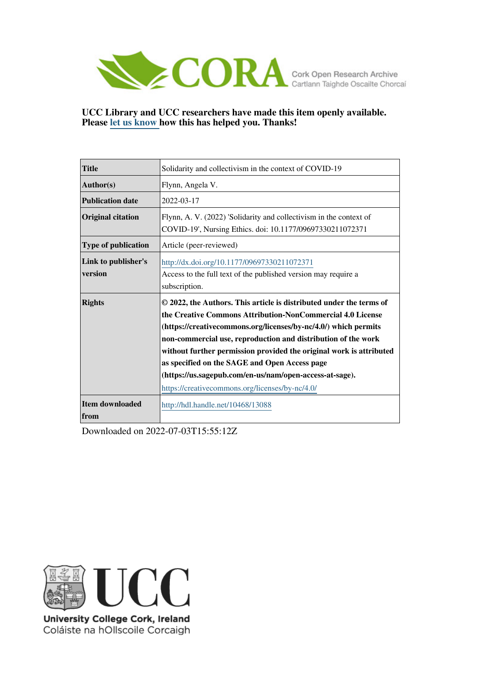

**UCC Library and UCC researchers have made this item openly available. Please [let us know h](https://libguides.ucc.ie/openaccess/impact?suffix=13088&title=Solidarity and collectivism in the context of COVID-19)ow this has helped you. Thanks!**

| <b>Title</b>                   | Solidarity and collectivism in the context of COVID-19                                                                                                                                                                                                                                                                                                                                                                                                                                                      |
|--------------------------------|-------------------------------------------------------------------------------------------------------------------------------------------------------------------------------------------------------------------------------------------------------------------------------------------------------------------------------------------------------------------------------------------------------------------------------------------------------------------------------------------------------------|
| Author(s)                      | Flynn, Angela V.                                                                                                                                                                                                                                                                                                                                                                                                                                                                                            |
| <b>Publication date</b>        | 2022-03-17                                                                                                                                                                                                                                                                                                                                                                                                                                                                                                  |
| <b>Original citation</b>       | Flynn, A. V. (2022) 'Solidarity and collectivism in the context of<br>COVID-19', Nursing Ethics. doi: 10.1177/09697330211072371                                                                                                                                                                                                                                                                                                                                                                             |
| <b>Type of publication</b>     | Article (peer-reviewed)                                                                                                                                                                                                                                                                                                                                                                                                                                                                                     |
| Link to publisher's<br>version | http://dx.doi.org/10.1177/09697330211072371<br>Access to the full text of the published version may require a<br>subscription.                                                                                                                                                                                                                                                                                                                                                                              |
| <b>Rights</b>                  | © 2022, the Authors. This article is distributed under the terms of<br>the Creative Commons Attribution-NonCommercial 4.0 License<br>(https://creativecommons.org/licenses/by-nc/4.0/) which permits<br>non-commercial use, reproduction and distribution of the work<br>without further permission provided the original work is attributed<br>as specified on the SAGE and Open Access page<br>(https://us.sagepub.com/en-us/nam/open-access-at-sage).<br>https://creativecommons.org/licenses/by-nc/4.0/ |
| <b>Item downloaded</b><br>from | http://hdl.handle.net/10468/13088                                                                                                                                                                                                                                                                                                                                                                                                                                                                           |

Downloaded on 2022-07-03T15:55:12Z



University College Cork, Ireland Coláiste na hOllscoile Corcaigh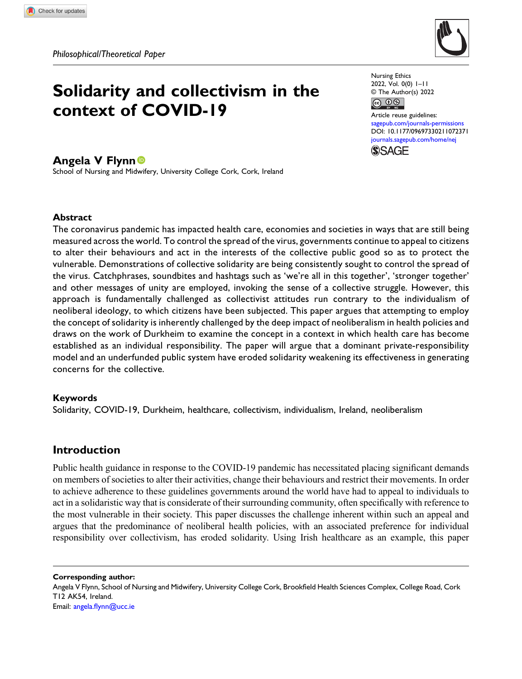# Solidarity and collectivism in the context of COVID-19

# Angela V Flynn

School of Nursing and Midwifery, University College Cork, Cork, Ireland



Nursing Ethics 2022, Vol. 0(0) 1–11 © The Author(s) 2022  $\circledcirc$   $\circledcirc$ 

Article reuse guidelines: [sagepub.com/journals-permissions](https://uk.sagepub.com/en-gb/journals-permissions) DOI: [10.1177/09697330211072371](https://doi.org/10.1177/09697330211072371) [journals.sagepub.com/home/nej](https://journals.sagepub.com/home/nej)



# Abstract

The coronavirus pandemic has impacted health care, economies and societies in ways that are still being measured across the world. To control the spread of the virus, governments continue to appeal to citizens to alter their behaviours and act in the interests of the collective public good so as to protect the vulnerable. Demonstrations of collective solidarity are being consistently sought to control the spread of the virus. Catchphrases, soundbites and hashtags such as 'we're all in this together', 'stronger together' and other messages of unity are employed, invoking the sense of a collective struggle. However, this approach is fundamentally challenged as collectivist attitudes run contrary to the individualism of neoliberal ideology, to which citizens have been subjected. This paper argues that attempting to employ the concept of solidarity is inherently challenged by the deep impact of neoliberalism in health policies and draws on the work of Durkheim to examine the concept in a context in which health care has become established as an individual responsibility. The paper will argue that a dominant private-responsibility model and an underfunded public system have eroded solidarity weakening its effectiveness in generating concerns for the collective.

#### Keywords

Solidarity, COVID-19, Durkheim, healthcare, collectivism, individualism, Ireland, neoliberalism

# Introduction

Public health guidance in response to the COVID-19 pandemic has necessitated placing significant demands on members of societies to alter their activities, change their behaviours and restrict their movements. In order to achieve adherence to these guidelines governments around the world have had to appeal to individuals to act in a solidaristic way that is considerate of their surrounding community, often specifically with reference to the most vulnerable in their society. This paper discusses the challenge inherent within such an appeal and argues that the predominance of neoliberal health policies, with an associated preference for individual responsibility over collectivism, has eroded solidarity. Using Irish healthcare as an example, this paper

Corresponding author: Angela V Flynn, School of Nursing and Midwifery, University College Cork, Brookfield Health Sciences Complex, College Road, Cork T12 AK54, Ireland. Email: angela.fl[ynn@ucc.ie](mailto:angela.flynn@ucc.ie)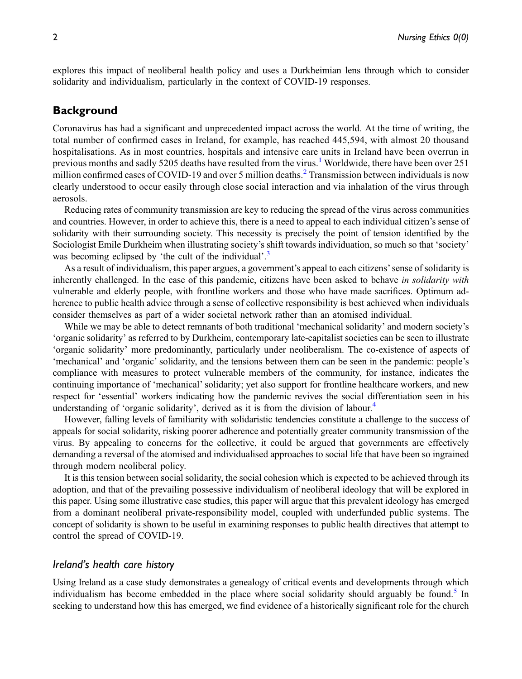explores this impact of neoliberal health policy and uses a Durkheimian lens through which to consider solidarity and individualism, particularly in the context of COVID-19 responses.

# **Background**

Coronavirus has had a significant and unprecedented impact across the world. At the time of writing, the total number of confirmed cases in Ireland, for example, has reached 445,594, with almost 20 thousand hospitalisations. As in most countries, hospitals and intensive care units in Ireland have been overrun in previous months and sadly 5205 deaths have resulted from the virus.<sup>[1](#page-9-0)</sup> Worldwide, there have been over 251 million confirmed cases of COVID-19 and over 5 million deaths.<sup>[2](#page-10-0)</sup> Transmission between individuals is now clearly understood to occur easily through close social interaction and via inhalation of the virus through aerosols.

Reducing rates of community transmission are key to reducing the spread of the virus across communities and countries. However, in order to achieve this, there is a need to appeal to each individual citizen's sense of solidarity with their surrounding society. This necessity is precisely the point of tension identified by the Sociologist Emile Durkheim when illustrating society's shift towards individuation, so much so that 'society' was becoming eclipsed by 'the cult of the individual'.<sup>[3](#page-10-1)</sup>

As a result of individualism, this paper argues, a government's appeal to each citizens'sense of solidarity is inherently challenged. In the case of this pandemic, citizens have been asked to behave in solidarity with vulnerable and elderly people, with frontline workers and those who have made sacrifices. Optimum adherence to public health advice through a sense of collective responsibility is best achieved when individuals consider themselves as part of a wider societal network rather than an atomised individual.

While we may be able to detect remnants of both traditional 'mechanical solidarity' and modern society's 'organic solidarity' as referred to by Durkheim, contemporary late-capitalist societies can be seen to illustrate 'organic solidarity' more predominantly, particularly under neoliberalism. The co-existence of aspects of 'mechanical' and 'organic' solidarity, and the tensions between them can be seen in the pandemic: people's compliance with measures to protect vulnerable members of the community, for instance, indicates the continuing importance of 'mechanical' solidarity; yet also support for frontline healthcare workers, and new respect for 'essential' workers indicating how the pandemic revives the social differentiation seen in his understanding of 'organic solidarity', derived as it is from the division of labour.<sup>[4](#page-10-2)</sup>

However, falling levels of familiarity with solidaristic tendencies constitute a challenge to the success of appeals for social solidarity, risking poorer adherence and potentially greater community transmission of the virus. By appealing to concerns for the collective, it could be argued that governments are effectively demanding a reversal of the atomised and individualised approaches to social life that have been so ingrained through modern neoliberal policy.

It is this tension between social solidarity, the social cohesion which is expected to be achieved through its adoption, and that of the prevailing possessive individualism of neoliberal ideology that will be explored in this paper. Using some illustrative case studies, this paper will argue that this prevalent ideology has emerged from a dominant neoliberal private-responsibility model, coupled with underfunded public systems. The concept of solidarity is shown to be useful in examining responses to public health directives that attempt to control the spread of COVID-19.

## Ireland's health care history

Using Ireland as a case study demonstrates a genealogy of critical events and developments through which individualism has become embedded in the place where social solidarity should arguably be found.<sup>[5](#page-10-3)</sup> In seeking to understand how this has emerged, we find evidence of a historically significant role for the church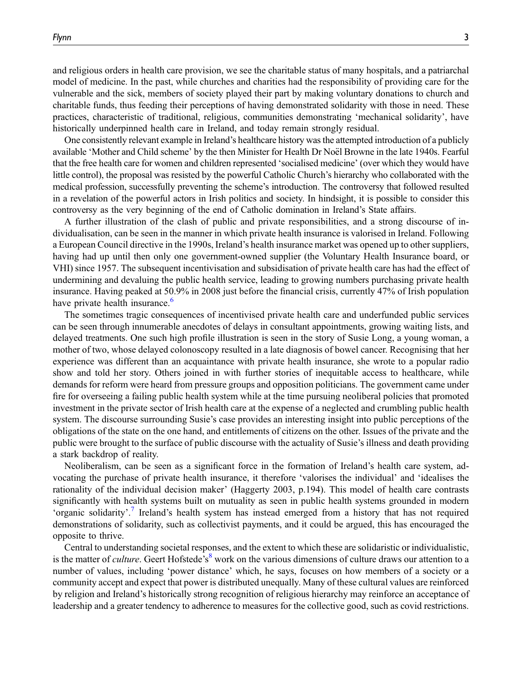and religious orders in health care provision, we see the charitable status of many hospitals, and a patriarchal model of medicine. In the past, while churches and charities had the responsibility of providing care for the vulnerable and the sick, members of society played their part by making voluntary donations to church and charitable funds, thus feeding their perceptions of having demonstrated solidarity with those in need. These practices, characteristic of traditional, religious, communities demonstrating 'mechanical solidarity', have historically underpinned health care in Ireland, and today remain strongly residual.

One consistently relevant example in Ireland's healthcare history was the attempted introduction of a publicly available 'Mother and Child scheme' by the then Minister for Health Dr Noel Browne in the late 1940s. Fearful ¨ that the free health care for women and children represented 'socialised medicine' (over which they would have little control), the proposal was resisted by the powerful Catholic Church's hierarchy who collaborated with the medical profession, successfully preventing the scheme's introduction. The controversy that followed resulted in a revelation of the powerful actors in Irish politics and society. In hindsight, it is possible to consider this controversy as the very beginning of the end of Catholic domination in Ireland's State affairs.

A further illustration of the clash of public and private responsibilities, and a strong discourse of individualisation, can be seen in the manner in which private health insurance is valorised in Ireland. Following a European Council directive in the 1990s, Ireland's health insurance market was opened up to other suppliers, having had up until then only one government-owned supplier (the Voluntary Health Insurance board, or VHI) since 1957. The subsequent incentivisation and subsidisation of private health care has had the effect of undermining and devaluing the public health service, leading to growing numbers purchasing private health insurance. Having peaked at 50.9% in 2008 just before the financial crisis, currently 47% of Irish population have private health insurance.<sup>[6](#page-10-4)</sup>

The sometimes tragic consequences of incentivised private health care and underfunded public services can be seen through innumerable anecdotes of delays in consultant appointments, growing waiting lists, and delayed treatments. One such high profile illustration is seen in the story of Susie Long, a young woman, a mother of two, whose delayed colonoscopy resulted in a late diagnosis of bowel cancer. Recognising that her experience was different than an acquaintance with private health insurance, she wrote to a popular radio show and told her story. Others joined in with further stories of inequitable access to healthcare, while demands for reform were heard from pressure groups and opposition politicians. The government came under fire for overseeing a failing public health system while at the time pursuing neoliberal policies that promoted investment in the private sector of Irish health care at the expense of a neglected and crumbling public health system. The discourse surrounding Susie's case provides an interesting insight into public perceptions of the obligations of the state on the one hand, and entitlements of citizens on the other. Issues of the private and the public were brought to the surface of public discourse with the actuality of Susie's illness and death providing a stark backdrop of reality.

Neoliberalism, can be seen as a significant force in the formation of Ireland's health care system, advocating the purchase of private health insurance, it therefore 'valorises the individual' and 'idealises the rationality of the individual decision maker' (Haggerty 2003, p.194). This model of health care contrasts significantly with health systems built on mutuality as seen in public health systems grounded in modern 'organic solidarity'.<sup>[7](#page-10-5)</sup> Ireland's health system has instead emerged from a history that has not required demonstrations of solidarity, such as collectivist payments, and it could be argued, this has encouraged the opposite to thrive.

Central to understanding societal responses, and the extent to which these are solidaristic or individualistic, is the matter of *culture*. Geert Hofstede's<sup>[8](#page-10-6)</sup> work on the various dimensions of culture draws our attention to a number of values, including 'power distance' which, he says, focuses on how members of a society or a community accept and expect that power is distributed unequally. Many of these cultural values are reinforced by religion and Ireland's historically strong recognition of religious hierarchy may reinforce an acceptance of leadership and a greater tendency to adherence to measures for the collective good, such as covid restrictions.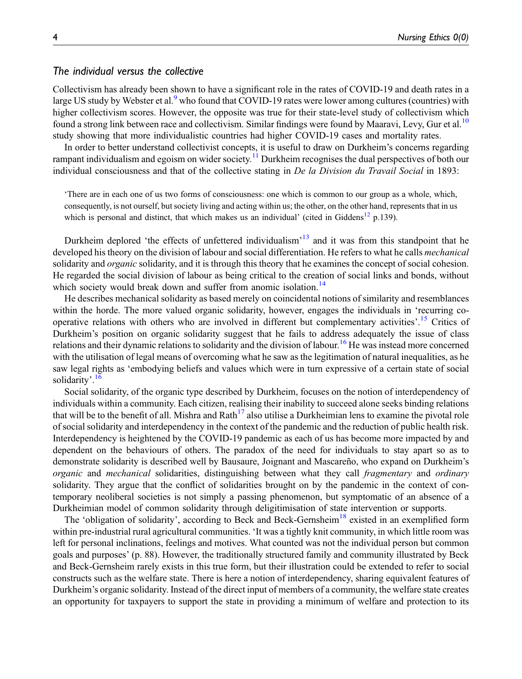# The individual versus the collective

Collectivism has already been shown to have a significant role in the rates of COVID-19 and death rates in a large US study by Webster et al.<sup>[9](#page-10-7)</sup> who found that COVID-19 rates were lower among cultures (countries) with higher collectivism scores. However, the opposite was true for their state-level study of collectivism which found a strong link between race and collectivism. Similar findings were found by Maaravi, Levy, Gur et al.<sup>[10](#page-10-8)</sup> study showing that more individualistic countries had higher COVID-19 cases and mortality rates.

In order to better understand collectivist concepts, it is useful to draw on Durkheim's concerns regarding rampant individualism and egoism on wider society.<sup>[11](#page-10-9)</sup> Durkheim recognises the dual perspectives of both our individual consciousness and that of the collective stating in De la Division du Travail Social in 1893:

'There are in each one of us two forms of consciousness: one which is common to our group as a whole, which, consequently, is not ourself, but society living and acting within us; the other, on the other hand, represents that in us which is personal and distinct, that which makes us an individual' (cited in Giddens<sup>[12](#page-10-10)</sup> p.139).

Durkheim deplored 'the effects of unfettered individualism'<sup>[13](#page-10-11)</sup> and it was from this standpoint that he developed his theory on the division of labour and social differentiation. He refers to what he calls *mechanical* solidarity and *organic* solidarity, and it is through this theory that he examines the concept of social cohesion. He regarded the social division of labour as being critical to the creation of social links and bonds, without which society would break down and suffer from anomic isolation.<sup>[14](#page-10-12)</sup>

He describes mechanical solidarity as based merely on coincidental notions of similarity and resemblances within the horde. The more valued organic solidarity, however, engages the individuals in 'recurring co-operative relations with others who are involved in different but complementary activities'.<sup>[15](#page-10-13)</sup> Critics of Durkheim's position on organic solidarity suggest that he fails to address adequately the issue of class relations and their dynamic relations to solidarity and the division of labour.[16](#page-10-14) He was instead more concerned with the utilisation of legal means of overcoming what he saw as the legitimation of natural inequalities, as he saw legal rights as 'embodying beliefs and values which were in turn expressive of a certain state of social solidarity'.<sup>[16](#page-10-14)</sup>

Social solidarity, of the organic type described by Durkheim, focuses on the notion of interdependency of individuals within a community. Each citizen, realising their inability to succeed alone seeks binding relations that will be to the benefit of all. Mishra and Rath<sup>[17](#page-10-15)</sup> also utilise a Durkheimian lens to examine the pivotal role of social solidarity and interdependency in the context of the pandemic and the reduction of public health risk. Interdependency is heightened by the COVID-19 pandemic as each of us has become more impacted by and dependent on the behaviours of others. The paradox of the need for individuals to stay apart so as to demonstrate solidarity is described well by Bausaure, Joignant and Mascareño, who expand on Durkheim's organic and mechanical solidarities, distinguishing between what they call fragmentary and ordinary solidarity. They argue that the conflict of solidarities brought on by the pandemic in the context of contemporary neoliberal societies is not simply a passing phenomenon, but symptomatic of an absence of a Durkheimian model of common solidarity through deligitimisation of state intervention or supports.

The 'obligation of solidarity', according to Beck and Beck-Gernsheim<sup>[18](#page-10-16)</sup> existed in an exemplified form within pre-industrial rural agricultural communities. 'It was a tightly knit community, in which little room was left for personal inclinations, feelings and motives. What counted was not the individual person but common goals and purposes' (p. 88). However, the traditionally structured family and community illustrated by Beck and Beck-Gernsheim rarely exists in this true form, but their illustration could be extended to refer to social constructs such as the welfare state. There is here a notion of interdependency, sharing equivalent features of Durkheim's organic solidarity. Instead of the direct input of members of a community, the welfare state creates an opportunity for taxpayers to support the state in providing a minimum of welfare and protection to its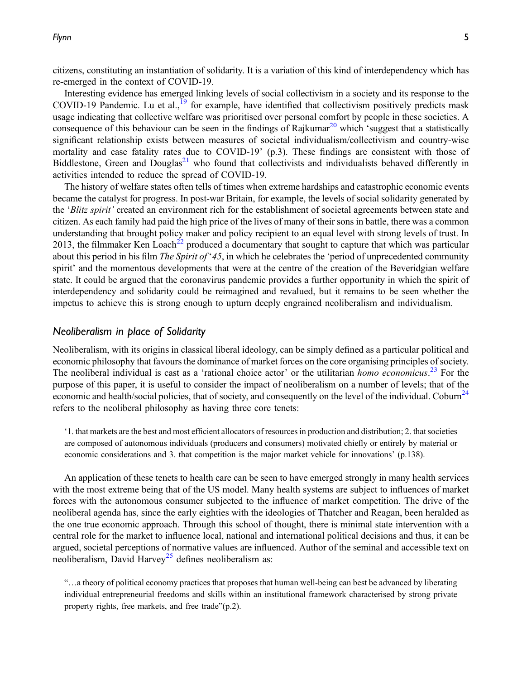citizens, constituting an instantiation of solidarity. It is a variation of this kind of interdependency which has re-emerged in the context of COVID-19.

Interesting evidence has emerged linking levels of social collectivism in a society and its response to the COVID-[19](#page-10-17) Pandemic. Lu et al.,  $^{19}$  for example, have identified that collectivism positively predicts mask usage indicating that collective welfare was prioritised over personal comfort by people in these societies. A consequence of this behaviour can be seen in the findings of Rajkumar<sup>[20](#page-10-18)</sup> which 'suggest that a statistically significant relationship exists between measures of societal individualism/collectivism and country-wise mortality and case fatality rates due to COVID-19' (p.3). These findings are consistent with those of Biddlestone, Green and Douglas<sup>[21](#page-10-19)</sup> who found that collectivists and individualists behaved differently in activities intended to reduce the spread of COVID-19.

The history of welfare states often tells of times when extreme hardships and catastrophic economic events became the catalyst for progress. In post-war Britain, for example, the levels of social solidarity generated by the 'Blitz spirit' created an environment rich for the establishment of societal agreements between state and citizen. As each family had paid the high price of the lives of many of their sons in battle, there was a common understanding that brought policy maker and policy recipient to an equal level with strong levels of trust. In 2013, the filmmaker Ken Loach<sup>[22](#page-10-20)</sup> produced a documentary that sought to capture that which was particular about this period in his film *The Spirit of '45*, in which he celebrates the 'period of unprecedented community spirit' and the momentous developments that were at the centre of the creation of the Beveridgian welfare state. It could be argued that the coronavirus pandemic provides a further opportunity in which the spirit of interdependency and solidarity could be reimagined and revalued, but it remains to be seen whether the impetus to achieve this is strong enough to upturn deeply engrained neoliberalism and individualism.

# Neoliberalism in place of Solidarity

Neoliberalism, with its origins in classical liberal ideology, can be simply defined as a particular political and economic philosophy that favours the dominance of market forces on the core organising principles of society. The neoliberal individual is cast as a 'rational choice actor' or the utilitarian *homo economicus*.<sup>[23](#page-10-21)</sup> For the purpose of this paper, it is useful to consider the impact of neoliberalism on a number of levels; that of the economic and health/social policies, that of society, and consequently on the level of the individual. Coburn<sup>[24](#page-10-22)</sup> refers to the neoliberal philosophy as having three core tenets:

'1. that markets are the best and most efficient allocators of resources in production and distribution; 2. that societies are composed of autonomous individuals (producers and consumers) motivated chiefly or entirely by material or economic considerations and 3. that competition is the major market vehicle for innovations' (p.138).

An application of these tenets to health care can be seen to have emerged strongly in many health services with the most extreme being that of the US model. Many health systems are subject to influences of market forces with the autonomous consumer subjected to the influence of market competition. The drive of the neoliberal agenda has, since the early eighties with the ideologies of Thatcher and Reagan, been heralded as the one true economic approach. Through this school of thought, there is minimal state intervention with a central role for the market to influence local, national and international political decisions and thus, it can be argued, societal perceptions of normative values are influenced. Author of the seminal and accessible text on neoliberalism, David Harvey<sup>[25](#page-10-23)</sup> defines neoliberalism as:

"…a theory of political economy practices that proposes that human well-being can best be advanced by liberating individual entrepreneurial freedoms and skills within an institutional framework characterised by strong private property rights, free markets, and free trade"(p.2).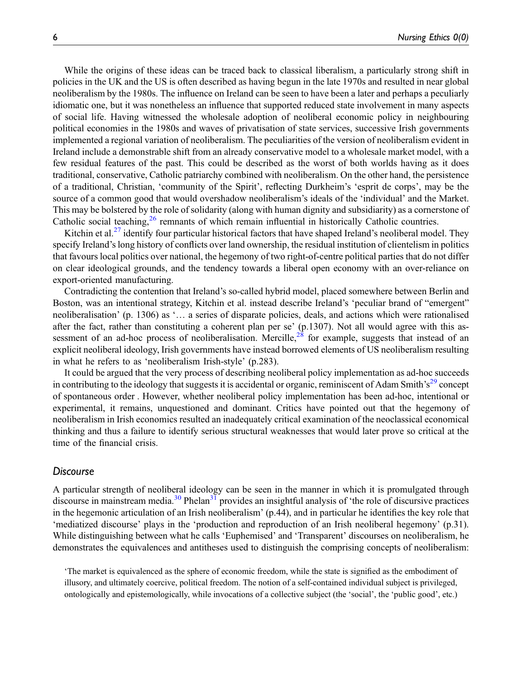While the origins of these ideas can be traced back to classical liberalism, a particularly strong shift in policies in the UK and the US is often described as having begun in the late 1970s and resulted in near global neoliberalism by the 1980s. The influence on Ireland can be seen to have been a later and perhaps a peculiarly idiomatic one, but it was nonetheless an influence that supported reduced state involvement in many aspects of social life. Having witnessed the wholesale adoption of neoliberal economic policy in neighbouring political economies in the 1980s and waves of privatisation of state services, successive Irish governments implemented a regional variation of neoliberalism. The peculiarities of the version of neoliberalism evident in Ireland include a demonstrable shift from an already conservative model to a wholesale market model, with a few residual features of the past. This could be described as the worst of both worlds having as it does traditional, conservative, Catholic patriarchy combined with neoliberalism. On the other hand, the persistence of a traditional, Christian, 'community of the Spirit', reflecting Durkheim's 'esprit de corps', may be the source of a common good that would overshadow neoliberalism's ideals of the 'individual' and the Market. This may be bolstered by the role of solidarity (along with human dignity and subsidiarity) as a cornerstone of Catholic social teaching, $26$  remnants of which remain influential in historically Catholic countries.

Kitchin et al.<sup>[27](#page-10-25)</sup> identify four particular historical factors that have shaped Ireland's neoliberal model. They specify Ireland's long history of conflicts over land ownership, the residual institution of clientelism in politics that favours local politics over national, the hegemony of two right-of-centre political parties that do not differ on clear ideological grounds, and the tendency towards a liberal open economy with an over-reliance on export-oriented manufacturing.

Contradicting the contention that Ireland's so-called hybrid model, placed somewhere between Berlin and Boston, was an intentional strategy, Kitchin et al. instead describe Ireland's 'peculiar brand of "emergent" neoliberalisation' (p. 1306) as '… a series of disparate policies, deals, and actions which were rationalised after the fact, rather than constituting a coherent plan per se' (p.1307). Not all would agree with this assessment of an ad-hoc process of neoliberalisation. Mercille,  $^{28}$  $^{28}$  $^{28}$  for example, suggests that instead of an explicit neoliberal ideology, Irish governments have instead borrowed elements of US neoliberalism resulting in what he refers to as 'neoliberalism Irish-style' (p.283).

It could be argued that the very process of describing neoliberal policy implementation as ad-hoc succeeds in contributing to the ideology that suggests it is accidental or organic, reminiscent of Adam Smith's<sup>[29](#page-10-27)</sup> concept of spontaneous order . However, whether neoliberal policy implementation has been ad-hoc, intentional or experimental, it remains, unquestioned and dominant. Critics have pointed out that the hegemony of neoliberalism in Irish economics resulted an inadequately critical examination of the neoclassical economical thinking and thus a failure to identify serious structural weaknesses that would later prove so critical at the time of the financial crisis.

#### **Discourse**

A particular strength of neoliberal ideology can be seen in the manner in which it is promulgated through discourse in mainstream media.<sup>[30](#page-10-28)</sup> Phelan<sup>[31](#page-11-0)</sup> provides an insightful analysis of 'the role of discursive practices in the hegemonic articulation of an Irish neoliberalism' (p.44), and in particular he identifies the key role that 'mediatized discourse' plays in the 'production and reproduction of an Irish neoliberal hegemony' (p.31). While distinguishing between what he calls 'Euphemised' and 'Transparent' discourses on neoliberalism, he demonstrates the equivalences and antitheses used to distinguish the comprising concepts of neoliberalism:

'The market is equivalenced as the sphere of economic freedom, while the state is signified as the embodiment of illusory, and ultimately coercive, political freedom. The notion of a self-contained individual subject is privileged, ontologically and epistemologically, while invocations of a collective subject (the 'social', the 'public good', etc.)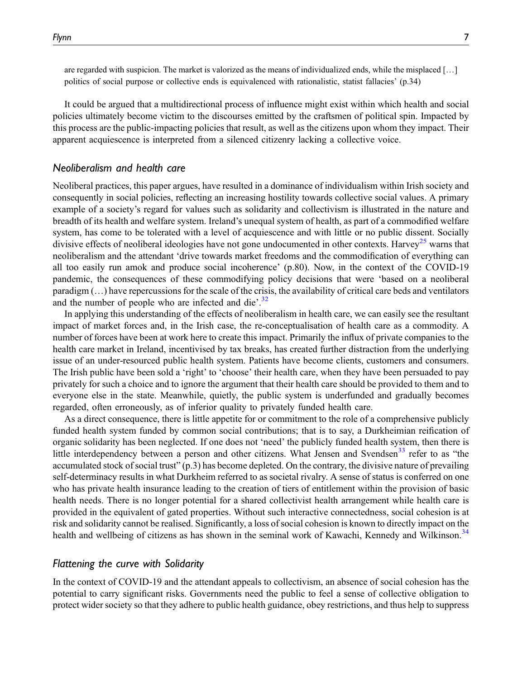are regarded with suspicion. The market is valorized as the means of individualized ends, while the misplaced […] politics of social purpose or collective ends is equivalenced with rationalistic, statist fallacies' (p.34)

It could be argued that a multidirectional process of influence might exist within which health and social policies ultimately become victim to the discourses emitted by the craftsmen of political spin. Impacted by this process are the public-impacting policies that result, as well as the citizens upon whom they impact. Their apparent acquiescence is interpreted from a silenced citizenry lacking a collective voice.

## Neoliberalism and health care

Neoliberal practices, this paper argues, have resulted in a dominance of individualism within Irish society and consequently in social policies, reflecting an increasing hostility towards collective social values. A primary example of a society's regard for values such as solidarity and collectivism is illustrated in the nature and breadth of its health and welfare system. Ireland's unequal system of health, as part of a commodified welfare system, has come to be tolerated with a level of acquiescence and with little or no public dissent. Socially divisive effects of neoliberal ideologies have not gone undocumented in other contexts. Harvey<sup>[25](#page-10-23)</sup> warns that neoliberalism and the attendant 'drive towards market freedoms and the commodification of everything can all too easily run amok and produce social incoherence' (p.80). Now, in the context of the COVID-19 pandemic, the consequences of these commodifying policy decisions that were 'based on a neoliberal paradigm (…) have repercussions for the scale of the crisis, the availability of critical care beds and ventilators and the number of people who are infected and die'.<sup>[32](#page-11-1)</sup>

In applying this understanding of the effects of neoliberalism in health care, we can easily see the resultant impact of market forces and, in the Irish case, the re-conceptualisation of health care as a commodity. A number of forces have been at work here to create this impact. Primarily the influx of private companies to the health care market in Ireland, incentivised by tax breaks, has created further distraction from the underlying issue of an under-resourced public health system. Patients have become clients, customers and consumers. The Irish public have been sold a 'right' to 'choose' their health care, when they have been persuaded to pay privately for such a choice and to ignore the argument that their health care should be provided to them and to everyone else in the state. Meanwhile, quietly, the public system is underfunded and gradually becomes regarded, often erroneously, as of inferior quality to privately funded health care.

As a direct consequence, there is little appetite for or commitment to the role of a comprehensive publicly funded health system funded by common social contributions; that is to say, a Durkheimian reification of organic solidarity has been neglected. If one does not 'need' the publicly funded health system, then there is little interdependency between a person and other citizens. What Jensen and Svendsen<sup>[33](#page-11-2)</sup> refer to as "the accumulated stock of social trust" (p.3) has become depleted. On the contrary, the divisive nature of prevailing self-determinacy results in what Durkheim referred to as societal rivalry. A sense of status is conferred on one who has private health insurance leading to the creation of tiers of entitlement within the provision of basic health needs. There is no longer potential for a shared collectivist health arrangement while health care is provided in the equivalent of gated properties. Without such interactive connectedness, social cohesion is at risk and solidarity cannot be realised. Significantly, a loss of social cohesion is known to directly impact on the health and wellbeing of citizens as has shown in the seminal work of Kawachi, Kennedy and Wilkinson.<sup>[34](#page-11-3)</sup>

#### Flattening the curve with Solidarity

In the context of COVID-19 and the attendant appeals to collectivism, an absence of social cohesion has the potential to carry significant risks. Governments need the public to feel a sense of collective obligation to protect wider society so that they adhere to public health guidance, obey restrictions, and thus help to suppress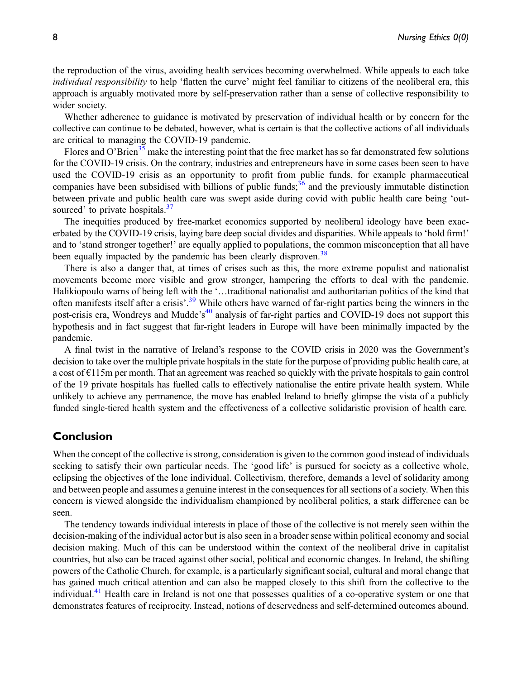the reproduction of the virus, avoiding health services becoming overwhelmed. While appeals to each take individual responsibility to help 'flatten the curve' might feel familiar to citizens of the neoliberal era, this approach is arguably motivated more by self-preservation rather than a sense of collective responsibility to wider society.

Whether adherence to guidance is motivated by preservation of individual health or by concern for the collective can continue to be debated, however, what is certain is that the collective actions of all individuals are critical to managing the COVID-19 pandemic.

Flores and O'Brien<sup>[35](#page-11-4)</sup> make the interesting point that the free market has so far demonstrated few solutions for the COVID-19 crisis. On the contrary, industries and entrepreneurs have in some cases been seen to have used the COVID-19 crisis as an opportunity to profit from public funds, for example pharmaceutical companies have been subsidised with billions of public funds; $36$  and the previously immutable distinction between private and public health care was swept aside during covid with public health care being 'out-sourced' to private hospitals.<sup>[37](#page-11-6)</sup>

The inequities produced by free-market economics supported by neoliberal ideology have been exacerbated by the COVID-19 crisis, laying bare deep social divides and disparities. While appeals to 'hold firm!' and to 'stand stronger together!' are equally applied to populations, the common misconception that all have been equally impacted by the pandemic has been clearly disproven.<sup>[38](#page-11-7)</sup>

There is also a danger that, at times of crises such as this, the more extreme populist and nationalist movements become more visible and grow stronger, hampering the efforts to deal with the pandemic. Halikiopoulo warns of being left with the '…traditional nationalist and authoritarian politics of the kind that often manifests itself after a crisis'.<sup>[39](#page-11-8)</sup> While others have warned of far-right parties being the winners in the post-crisis era, Wondreys and Mudde's<sup>[40](#page-11-9)</sup> analysis of far-right parties and COVID-19 does not support this hypothesis and in fact suggest that far-right leaders in Europe will have been minimally impacted by the pandemic.

A final twist in the narrative of Ireland's response to the COVID crisis in 2020 was the Government's decision to take over the multiple private hospitals in the state for the purpose of providing public health care, at a cost of €115m per month. That an agreement was reached so quickly with the private hospitals to gain control of the 19 private hospitals has fuelled calls to effectively nationalise the entire private health system. While unlikely to achieve any permanence, the move has enabled Ireland to briefly glimpse the vista of a publicly funded single-tiered health system and the effectiveness of a collective solidaristic provision of health care.

# Conclusion

When the concept of the collective is strong, consideration is given to the common good instead of individuals seeking to satisfy their own particular needs. The 'good life' is pursued for society as a collective whole, eclipsing the objectives of the lone individual. Collectivism, therefore, demands a level of solidarity among and between people and assumes a genuine interest in the consequences for all sections of a society. When this concern is viewed alongside the individualism championed by neoliberal politics, a stark difference can be seen.

The tendency towards individual interests in place of those of the collective is not merely seen within the decision-making of the individual actor but is also seen in a broader sense within political economy and social decision making. Much of this can be understood within the context of the neoliberal drive in capitalist countries, but also can be traced against other social, political and economic changes. In Ireland, the shifting powers of the Catholic Church, for example, is a particularly significant social, cultural and moral change that has gained much critical attention and can also be mapped closely to this shift from the collective to the individual.<sup>[41](#page-11-10)</sup> Health care in Ireland is not one that possesses qualities of a co-operative system or one that demonstrates features of reciprocity. Instead, notions of deservedness and self-determined outcomes abound.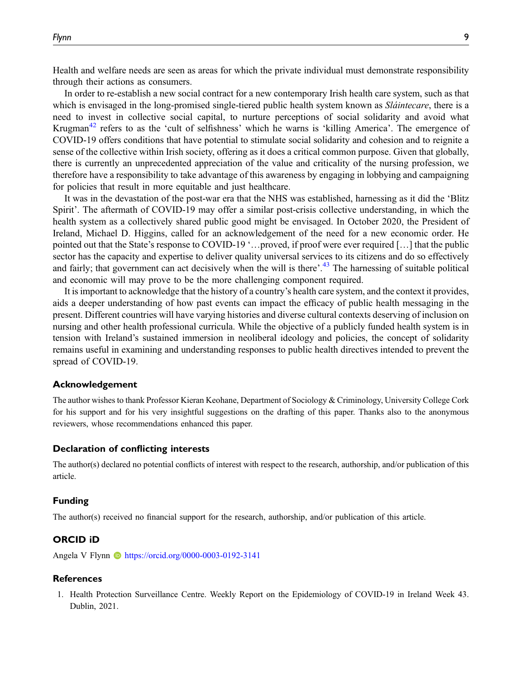Health and welfare needs are seen as areas for which the private individual must demonstrate responsibility through their actions as consumers.

In order to re-establish a new social contract for a new contemporary Irish health care system, such as that which is envisaged in the long-promised single-tiered public health system known as *Slaintecare*, there is a need to invest in collective social capital, to nurture perceptions of social solidarity and avoid what Krugman $42$  refers to as the 'cult of selfishness' which he warns is 'killing America'. The emergence of COVID-19 offers conditions that have potential to stimulate social solidarity and cohesion and to reignite a sense of the collective within Irish society, offering as it does a critical common purpose. Given that globally, there is currently an unprecedented appreciation of the value and criticality of the nursing profession, we therefore have a responsibility to take advantage of this awareness by engaging in lobbying and campaigning for policies that result in more equitable and just healthcare.

It was in the devastation of the post-war era that the NHS was established, harnessing as it did the 'Blitz Spirit'. The aftermath of COVID-19 may offer a similar post-crisis collective understanding, in which the health system as a collectively shared public good might be envisaged. In October 2020, the President of Ireland, Michael D. Higgins, called for an acknowledgement of the need for a new economic order. He pointed out that the State's response to COVID-19 '…proved, if proof were ever required […] that the public sector has the capacity and expertise to deliver quality universal services to its citizens and do so effectively and fairly; that government can act decisively when the will is there'.<sup>[43](#page-11-12)</sup> The harnessing of suitable political and economic will may prove to be the more challenging component required.

It is important to acknowledge that the history of a country's health care system, and the context it provides, aids a deeper understanding of how past events can impact the efficacy of public health messaging in the present. Different countries will have varying histories and diverse cultural contexts deserving of inclusion on nursing and other health professional curricula. While the objective of a publicly funded health system is in tension with Ireland's sustained immersion in neoliberal ideology and policies, the concept of solidarity remains useful in examining and understanding responses to public health directives intended to prevent the spread of COVID-19.

#### Acknowledgement

The author wishes to thank Professor Kieran Keohane, Department of Sociology & Criminology, University College Cork for his support and for his very insightful suggestions on the drafting of this paper. Thanks also to the anonymous reviewers, whose recommendations enhanced this paper.

#### Declaration of conflicting interests

The author(s) declared no potential conflicts of interest with respect to the research, authorship, and/or publication of this article.

#### Funding

The author(s) received no financial support for the research, authorship, and/or publication of this article.

#### ORCID iD

Angela V Flynn **b** <https://orcid.org/0000-0003-0192-3141>

#### References

<span id="page-9-0"></span>1. Health Protection Surveillance Centre. Weekly Report on the Epidemiology of COVID-19 in Ireland Week 43. Dublin, 2021.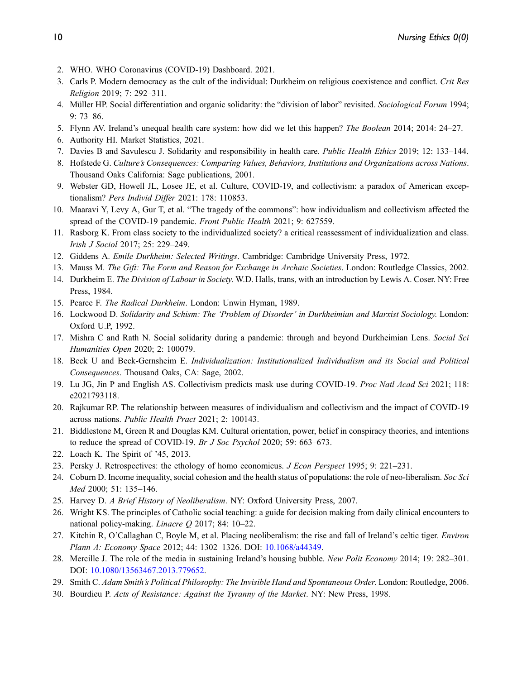- <span id="page-10-0"></span>2. WHO. WHO Coronavirus (COVID-19) Dashboard. 2021.
- <span id="page-10-1"></span>3. Carls P. Modern democracy as the cult of the individual: Durkheim on religious coexistence and conflict. Crit Res Religion 2019; 7: 292–311.
- <span id="page-10-2"></span>4. Müller HP. Social differentiation and organic solidarity: the "division of labor" revisited. Sociological Forum 1994; 9: 73–86.
- <span id="page-10-3"></span>5. Flynn AV. Ireland's unequal health care system: how did we let this happen? The Boolean 2014; 2014: 24–27.
- <span id="page-10-4"></span>6. Authority HI. Market Statistics, 2021.
- <span id="page-10-5"></span>7. Davies B and Savulescu J. Solidarity and responsibility in health care. Public Health Ethics 2019; 12: 133–144.
- <span id="page-10-6"></span>8. Hofstede G. Culture's Consequences: Comparing Values, Behaviors, Institutions and Organizations across Nations. Thousand Oaks California: Sage publications, 2001.
- <span id="page-10-7"></span>9. Webster GD, Howell JL, Losee JE, et al. Culture, COVID-19, and collectivism: a paradox of American exceptionalism? Pers Individ Differ 2021: 178: 110853.
- <span id="page-10-8"></span>10. Maaravi Y, Levy A, Gur T, et al. "The tragedy of the commons": how individualism and collectivism affected the spread of the COVID-19 pandemic. Front Public Health 2021; 9: 627559.
- <span id="page-10-9"></span>11. Rasborg K. From class society to the individualized society? a critical reassessment of individualization and class. Irish J Sociol 2017; 25: 229–249.
- <span id="page-10-10"></span>12. Giddens A. Emile Durkheim: Selected Writings. Cambridge: Cambridge University Press, 1972.
- <span id="page-10-11"></span>13. Mauss M. The Gift: The Form and Reason for Exchange in Archaic Societies. London: Routledge Classics, 2002.
- <span id="page-10-12"></span>14. Durkheim E. The Division of Labour in Society. W.D. Halls, trans, with an introduction by Lewis A. Coser. NY: Free Press, 1984.
- <span id="page-10-13"></span>15. Pearce F. The Radical Durkheim. London: Unwin Hyman, 1989.
- <span id="page-10-14"></span>16. Lockwood D. Solidarity and Schism: The 'Problem of Disorder' in Durkheimian and Marxist Sociology. London: Oxford U.P, 1992.
- <span id="page-10-15"></span>17. Mishra C and Rath N. Social solidarity during a pandemic: through and beyond Durkheimian Lens. Social Sci Humanities Open 2020; 2: 100079.
- <span id="page-10-16"></span>18. Beck U and Beck-Gernsheim E. Individualization: Institutionalized Individualism and its Social and Political Consequences. Thousand Oaks, CA: Sage, 2002.
- <span id="page-10-17"></span>19. Lu JG, Jin P and English AS. Collectivism predicts mask use during COVID-19. Proc Natl Acad Sci 2021; 118: e2021793118.
- <span id="page-10-18"></span>20. Rajkumar RP. The relationship between measures of individualism and collectivism and the impact of COVID-19 across nations. Public Health Pract 2021; 2: 100143.
- <span id="page-10-19"></span>21. Biddlestone M, Green R and Douglas KM. Cultural orientation, power, belief in conspiracy theories, and intentions to reduce the spread of COVID-19. Br J Soc Psychol 2020; 59: 663–673.
- <span id="page-10-21"></span><span id="page-10-20"></span>22. Loach K. The Spirit of '45, 2013.
- <span id="page-10-22"></span>23. Persky J. Retrospectives: the ethology of homo economicus. J Econ Perspect 1995; 9: 221–231.
- 24. Coburn D. Income inequality, social cohesion and the health status of populations: the role of neo-liberalism. Soc Sci Med 2000; 51: 135–146.
- <span id="page-10-23"></span>25. Harvey D. A Brief History of Neoliberalism. NY: Oxford University Press, 2007.
- <span id="page-10-24"></span>26. Wright KS. The principles of Catholic social teaching: a guide for decision making from daily clinical encounters to national policy-making. Linacre Q 2017; 84: 10–22.
- <span id="page-10-25"></span>27. Kitchin R, O'Callaghan C, Boyle M, et al. Placing neoliberalism: the rise and fall of Ireland's celtic tiger. Environ Plann A: Economy Space 2012; 44: 1302–1326. DOI: [10.1068/a44349](https://doi.org/10.1068/a44349).
- <span id="page-10-26"></span>28. Mercille J. The role of the media in sustaining Ireland's housing bubble. New Polit Economy 2014; 19: 282–301. DOI: [10.1080/13563467.2013.779652.](https://doi.org/10.1080/13563467.2013.779652)
- <span id="page-10-27"></span>29. Smith C. Adam Smith's Political Philosophy: The Invisible Hand and Spontaneous Order. London: Routledge, 2006.
- <span id="page-10-28"></span>30. Bourdieu P. Acts of Resistance: Against the Tyranny of the Market. NY: New Press, 1998.